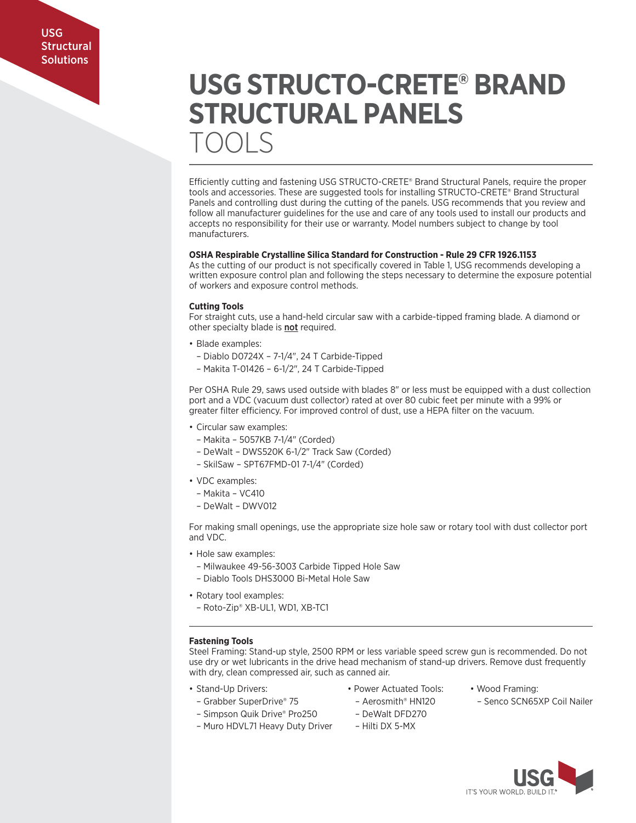# **USG STRUCTO-CRETE® BRAND STRUCTURAL PANELS**  TOOLS

Efficiently cutting and fastening USG STRUCTO-CRETE® Brand Structural Panels, require the proper tools and accessories. These are suggested tools for installing STRUCTO-CRETE® Brand Structural Panels and controlling dust during the cutting of the panels. USG recommends that you review and follow all manufacturer guidelines for the use and care of any tools used to install our products and accepts no responsibility for their use or warranty. Model numbers subject to change by tool manufacturers.

# **OSHA Respirable Crystalline Silica Standard for Construction - Rule 29 CFR 1926.1153**

As the cutting of our product is not specifically covered in Table 1, USG recommends developing a written exposure control plan and following the steps necessary to determine the exposure potential of workers and exposure control methods.

# **Cutting Tools**

For straight cuts, use a hand-held circular saw with a carbide-tipped framing blade. A diamond or other specialty blade is not required.

- Blade examples:
	- Diablo D0724X 7-1/4", 24 T Carbide-Tipped
- Makita T-01426 6-1/2", 24 T Carbide-Tipped

Per OSHA Rule 29, saws used outside with blades 8" or less must be equipped with a dust collection port and a VDC (vacuum dust collector) rated at over 80 cubic feet per minute with a 99% or greater filter efficiency. For improved control of dust, use a HEPA filter on the vacuum.

- Circular saw examples:
- Makita 5057KB 7-1/4" (Corded)
- DeWalt DWS520K 6-1/2" Track Saw (Corded)
- SkilSaw SPT67FMD-01 7-1/4" (Corded)
- VDC examples:
	- Makita VC410
	- DeWalt DWV012

For making small openings, use the appropriate size hole saw or rotary tool with dust collector port and VDC.

- Hole saw examples:
	- Milwaukee 49-56-3003 Carbide Tipped Hole Saw
	- Diablo Tools DHS3000 Bi-Metal Hole Saw
- Rotary tool examples:
	- Roto-Zip® XB-UL1, WD1, XB-TC1

# **Fastening Tools**

Steel Framing: Stand-up style, 2500 RPM or less variable speed screw gun is recommended. Do not use dry or wet lubricants in the drive head mechanism of stand-up drivers. Remove dust frequently with dry, clean compressed air, such as canned air.

- Stand-Up Drivers: Power Actuated Tools: Wood Framing:
	-
	-
- Simpson Quik Drive® Pro250 DeWalt DFD270
- Muro HDVL71 Heavy Duty Driver Hilti DX 5-MX
- 
- Grabber SuperDrive® 75 Aerosmith® HN120 Senco SCN65XP Coil Nailer